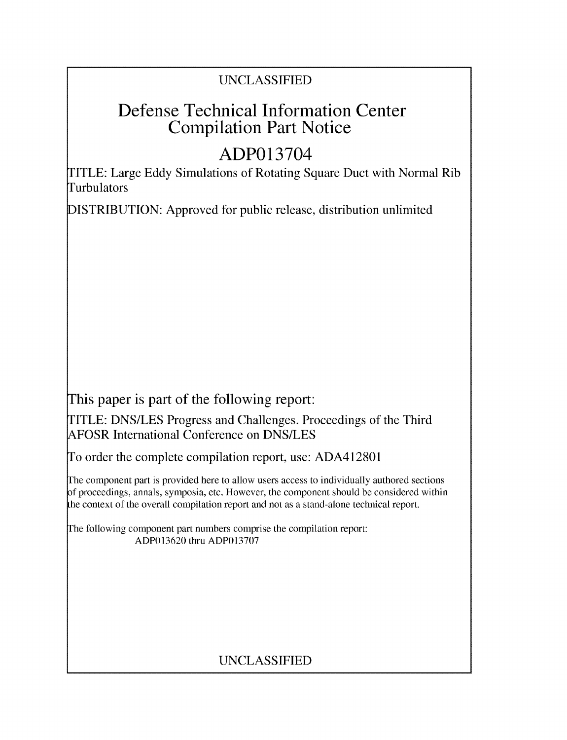# UNCLASSIFIED

# Defense Technical Information Center Compilation Part Notice

# ADP013704

TITLE: Large Eddy Simulations of Rotating Square Duct with Normal Rib Turbulators

DISTRIBUTION: Approved for public release, distribution unlimited

This paper is part of the following report:

TITLE: DNS/LES Progress and Challenges. Proceedings of the Third AFOSR International Conference on DNS/LES

To order the complete compilation report, use: ADA412801

The component part is provided here to allow users access to individually authored sections f proceedings, annals, symposia, etc. However, the component should be considered within the context of the overall compilation report and not as a stand-alone technical report.

The following component part numbers comprise the compilation report: ADP013620 thru ADP013707

# UNCLASSIFIED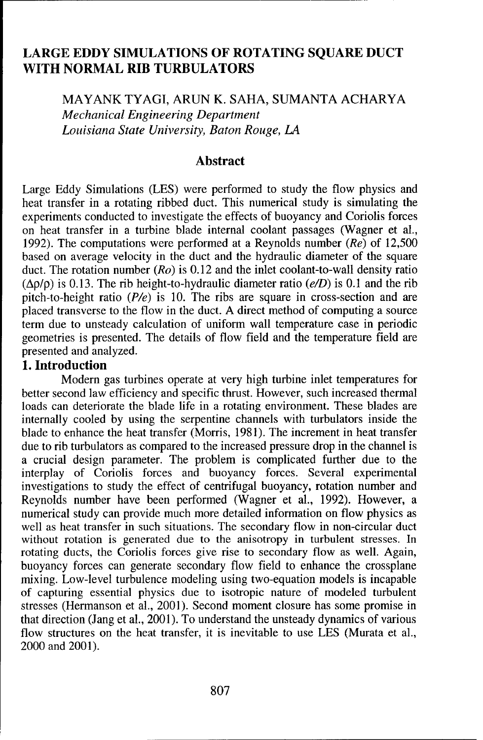# LARGE EDDY **SIMULATIONS** OF ROTATING **SQUARE DUCT** WITH NORMAL RIB TURBULATORS

MAYANK TYAGI, ARUN K. SAHA, SUMANTA ACHARYA *Mechanical Engineering Department Louisiana State University, Baton Rouge, LA*

#### Abstract

Large Eddy Simulations (LES) were performed to study the flow physics and heat transfer in a rotating ribbed duct. This numerical study is simulating the experiments conducted to investigate the effects of buoyancy and Coriolis forces on heat transfer in a turbine blade internal coolant passages (Wagner et al., 1992). The computations were performed at a Reynolds number  $(Re)$  of 12,500 based on average velocity in the duct and the hydraulic diameter of the square duct. The rotation number ( $Ro$ ) is 0.12 and the inlet coolant-to-wall density ratio  $(\Delta \rho/\rho)$  is 0.13. The rib height-to-hydraulic diameter ratio  $(e/D)$  is 0.1 and the rib pitch-to-height ratio *(Pie)* is 10. The ribs are square in cross-section and are placed transverse to the flow in the duct. A direct method of computing a source term due to unsteady calculation of uniform wall temperature case in periodic geometries is presented. The details of flow field and the temperature field are presented and analyzed.

#### **1.** Introduction

Modern gas turbines operate at very high turbine inlet temperatures for better second law efficiency and specific thrust. However, such increased thermal loads can deteriorate the blade life in a rotating environment. These blades are internally cooled by using the serpentine channels with turbulators inside the blade to enhance the heat transfer (Morris, 1981). The increment in heat transfer due to rib turbulators as compared to the increased pressure drop in the channel is a crucial design parameter. The problem is complicated further due to the interplay of Coriolis forces and buoyancy forces. Several experimental investigations to study the effect of centrifugal buoyancy, rotation number and Reynolds number have been performed (Wagner et al., 1992). However, a numerical study can provide much more detailed information on flow physics as well as heat transfer in such situations. The secondary flow in non-circular duct without rotation is generated due to the anisotropy in turbulent stresses. In rotating ducts, the Coriolis forces give rise to secondary flow as well. Again, buoyancy forces can generate secondary flow field to enhance the crossplane mixing. Low-level turbulence modeling using two-equation models is incapable of capturing essential physics due to isotropic nature of modeled turbulent stresses (Hermanson et al., 2001). Second moment closure has some promise in that direction (Jang et al., 2001). To understand the unsteady dynamics of various flow structures on the heat transfer, it is inevitable to use LES (Murata et al., 2000 and 2001).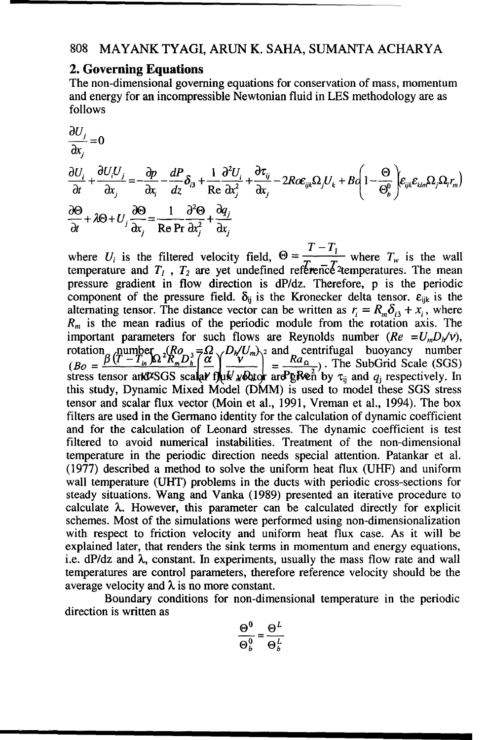### 2. Governing Equations

The non-dimensional governing equations for conservation of mass, momentum and energy for an incompressible Newtonian fluid in LES methodology are as follows

$$
\frac{\partial U_j}{\partial x_j} = 0
$$
\n
$$
\frac{\partial U_i}{\partial t} + \frac{\partial U_i U_j}{\partial x_j} = -\frac{\partial p}{\partial x_i} - \frac{dP}{dz} \delta_{i3} + \frac{1}{Re} \frac{\partial^2 U_i}{\partial x_j^2} + \frac{\partial \tau_{ij}}{\partial x_j} - 2R \alpha \epsilon_{ijk} \Omega_j U_k + B Q \left( 1 - \frac{\Theta}{\Theta_b^0} \right) \epsilon_{ijk} \epsilon_{klm} \Omega_j \Omega_l r_m)
$$
\n
$$
\frac{\partial \Theta}{\partial t} + \lambda \Theta + U_j \frac{\partial \Theta}{\partial x_j} = \frac{1}{Re \Pr} \frac{\partial^2 \Theta}{\partial x_i^2} + \frac{\partial q_j}{\partial x_j}
$$

where  $U_i$  is the filtered velocity field,  $\Theta = \frac{1}{T_i}$  where  $T_w$  is the wall temperature and  $T_1$ ,  $T_2$  are yet undefined reference<sup>2</sup> temperatures. The mean pressure gradient in flow direction is dP/dz. Therefore, p is the periodic component of the pressure field.  $\delta_{ij}$  is the Kronecker delta tensor,  $\varepsilon_{ijk}$  is the alternating tensor. The distance vector can be written as  $r_i = R_m \delta_{i3} + x_i$ , where  $R_m$  is the mean radius of the periodic module from the rotation axis. The important parameters for such flows are Reynolds number  $(Re = U_m D_h/v)$ , rotation number  $\left(B_0 = \frac{\beta (T - T_{in} \beta)^2 R_n D_h^3}{(B_0 - T_{in} \beta)^2 R_n^2} \right] \frac{d}{d\beta} \left(\frac{D_h / U_m}{L} \right)^2 = \frac{Ra_0}{R}$ . The SubGrid Scale (SGS) stress tensor and  $\nu$ SGS scalar fluk webtor are  $\frac{1}{2}$  for  $\tau_{ij}$  and  $q_j$  respectively. In this study, Dynamic Mixed Model (DMM) is used to model these SGS stress tensor and scalar flux vector (Moin et al., 1991, Vreman et al., 1994). The box filters are used in the Germano identity for the calculation of dynamic coefficient and for the calculation of Leonard stresses. The dynamic coefficient is test filtered to avoid numerical instabilities. Treatment of the non-dimensional temperature in the periodic direction needs special attention. Patankar et al. (1977) described a method to solve the uniform heat flux (UHF) and uniform wall temperature (UHT) problems in the ducts with periodic cross-sections for steady situations. Wang and Vanka (1989) presented an iterative procedure to calculate **X.** However, this parameter can be calculated directly for explicit schemes. Most of the simulations were performed using non-dimensionalization with respect to friction velocity and uniform heat flux case. As it will be explained later, that renders the sink terms in momentum and energy equations, i.e.  $dP/dz$  and  $\lambda$ , constant. In experiments, usually the mass flow rate and wall temperatures are control parameters, therefore reference velocity should be the average velocity and  $\lambda$  is no more constant.

Boundary conditions for non-dimensional temperature in the periodic direction is written as

$$
\frac{\Theta^0}{\Theta^0_b} = \frac{\Theta^L}{\Theta^L_b}
$$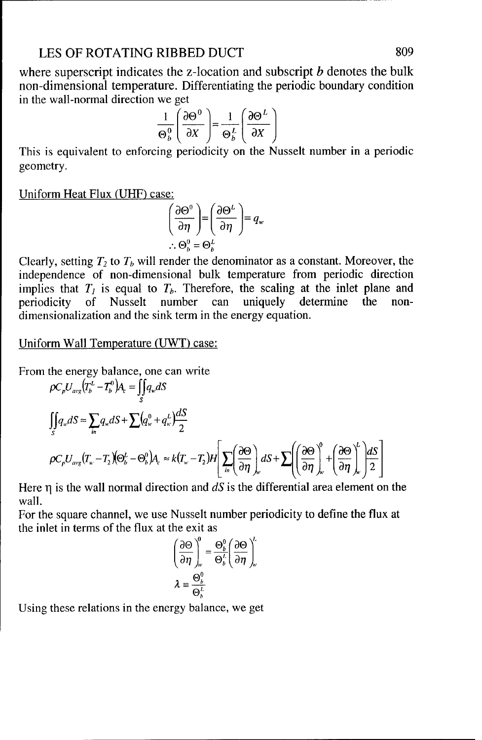#### LES OF ROTATING RIBBED DUCT 809

where superscript indicates the z-location and subscript  $b$  denotes the bulk non-dimensional temperature. Differentiating the periodic boundary condition in the wall-normal direction we get

we get  
\n
$$
\frac{1}{\Theta_b^0} \left( \frac{\partial \Theta^0}{\partial X} \right) = \frac{1}{\Theta_b^L} \left( \frac{\partial \Theta^L}{\partial X} \right)
$$

This is equivalent to enforcing periodicity on the Nusselt number in a periodic geometry.

Uniform Heat Flux (UHF) case:

$$
\left(\frac{\partial \Theta^0}{\partial \eta}\right) = \left(\frac{\partial \Theta^L}{\partial \eta}\right) = q_w
$$
  
 
$$
\therefore \Theta_b^0 = \Theta_b^L
$$

Clearly, setting  $T_2$  to  $T_b$  will render the denominator as a constant. Moreover, the independence of non-dimensional bulk temperature from periodic direction implies that  $T_i$  is equal to  $T_b$ . Therefore, the scaling at the inlet plane and periodicity of Nusselt number can uniquely determine the nondimensionalization and the sink term in the energy equation.

Uniform Wall Temperature (UWT) case:

From the energy balance, one can write

$$
\rho C_p U_{avg} (T_b^L - T_b^0) A_e = \iint_S q_w dS
$$
  

$$
\iint_S q_w dS \approx \sum_{in} q_w dS + \sum (q_w^0 + q_w^L) \frac{dS}{2}
$$
  

$$
\rho C_p U_{avg} (T_w - T_2) (\Theta_b^L - \Theta_b^0) A_e \approx k (T_w - T_2) H \left[ \sum_{in} \left( \frac{\partial \Theta}{\partial \eta} \right)_w dS + \sum \left( \left( \frac{\partial \Theta}{\partial \eta} \right)_w^0 + \left( \frac{\partial \Theta}{\partial \eta} \right)_w^L \right) \frac{dS}{2} \right]
$$

Here  $\eta$  is the wall normal direction and  $dS$  is the differential area element on the wall.

For the square channel, we use Nusselt number periodicity to define the flux at the inlet in terms of the flux at the exit as

$$
\left(\frac{\partial \Theta}{\partial \eta}\right)_{w}^{\theta} = \frac{\Theta_{b}^{\theta}}{\Theta_{b}^{t}} \left(\frac{\partial \Theta}{\partial \eta}\right)_{w}^{t}
$$

$$
\lambda \equiv \frac{\Theta_{b}^{\theta}}{\Theta_{b}^{t}}
$$

Using these relations in the energy balance, we get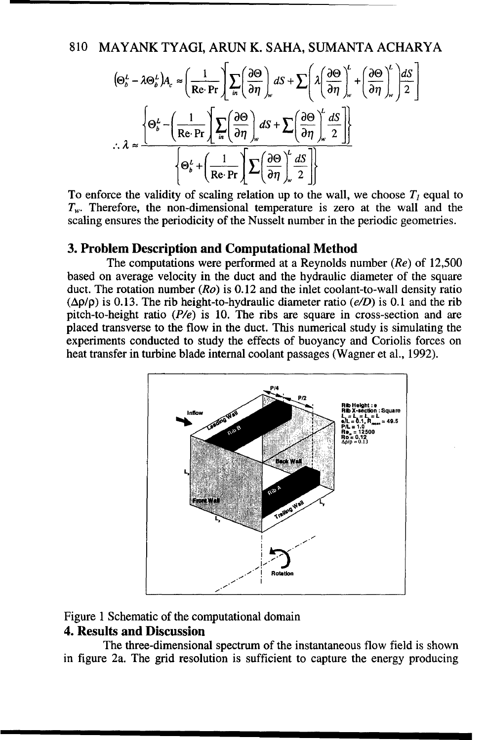$$
(\Theta_b^L - \lambda \Theta_b^L) A_c \approx \left(\frac{1}{\text{Re}\cdot\text{Pr}} \right) \sum_{in} \left(\frac{\partial \Theta}{\partial \eta}\right)_w dS + \sum \left(\lambda \left(\frac{\partial \Theta}{\partial \eta}\right)_w^L + \left(\frac{\partial \Theta}{\partial \eta}\right)_w^L \right) \frac{dS}{2}
$$

$$
\therefore \lambda \approx \frac{\left\{\Theta_b^L - \left(\frac{1}{\text{Re}\cdot\text{Pr}} \right) \sum_{in} \left(\frac{\partial \Theta}{\partial \eta}\right)_w dS + \sum \left(\frac{\partial \Theta}{\partial \eta}\right)_w^L \frac{dS}{2}\right\}}{\left\{\Theta_b^L + \left(\frac{1}{\text{Re}\cdot\text{Pr}} \right) \sum \left(\frac{\partial \Theta}{\partial \eta}\right)_w^L \frac{dS}{2}\right\}}
$$

To enforce the validity of scaling relation up to the wall, we choose  $T<sub>l</sub>$  equal to  $T_w$ . Therefore, the non-dimensional temperature is zero at the wall and the scaling ensures the periodicity of the Nusselt number in the periodic geometries.

#### 3. Problem Description and Computational Method

The computations were performed at a Reynolds number  $(Re)$  of 12,500 based on average velocity in the duct and the hydraulic diameter of the square duct. The rotation number  $(Ro)$  is 0.12 and the inlet coolant-to-wall density ratio  $(\Delta \rho/\rho)$  is 0.13. The rib height-to-hydraulic diameter ratio (e/D) is 0.1 and the rib pitch-to-height ratio  $(P/e)$  is 10. The ribs are square in cross-section and are placed transverse to the flow in the duct. This numerical study is simulating the experiments conducted to study the effects of buoyancy and Coriolis forces on heat transfer in turbine blade internal coolant passages (Wagner et al., 1992).



## Figure 1 Schematic of the computational domain

### **4. Results and Discussion**

The three-dimensional spectrum of the instantaneous flow field is shown in figure 2a. The grid resolution is sufficient to capture the energy producing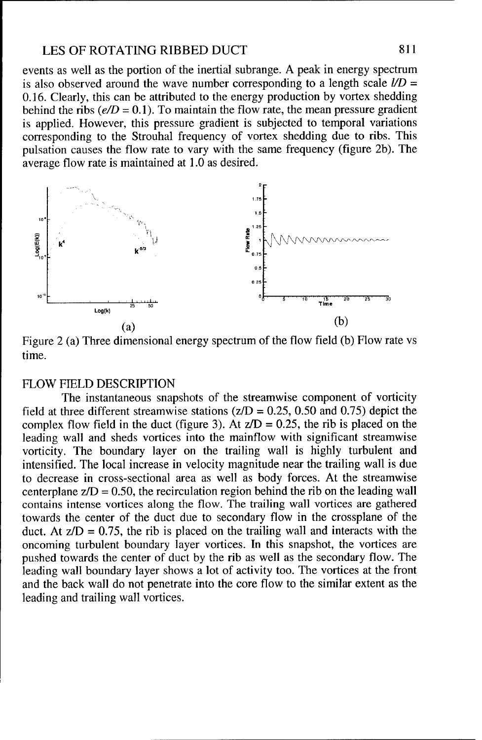#### LES OF ROTATING RIBBED DUCT 811

events as well as the portion of the inertial subrange. A peak in energy spectrum is also observed around the wave number corresponding to a length scale  $l/D =$ 0.16. Clearly, this can be attributed to the energy production by vortex shedding behind the ribs  $(e/D = 0.1)$ . To maintain the flow rate, the mean pressure gradient is applied. However, this pressure gradient is subjected to temporal variations corresponding to the Strouhal frequency of vortex shedding due to ribs. This pulsation causes the flow rate to vary with the same frequency (figure 2b). The average flow rate is maintained at 1.0 as desired.



Figure 2 (a) Three dimensional energy spectrum of the flow field (b) Flow rate vs time.

#### FLOW FIELD DESCRIPTION

The instantaneous snapshots of the streamwise component of vorticity field at three different streamwise stations ( $z/D = 0.25$ , 0.50 and 0.75) depict the complex flow field in the duct (figure 3). At  $z/D = 0.25$ , the rib is placed on the leading wall and sheds vortices into the mainflow with significant streamwise vorticity. The boundary layer on the trailing wall is highly turbulent and intensified. The local increase in velocity magnitude near the trailing wall is due to decrease in cross-sectional area as well as body forces. At the streamwise centerplane  $z/D = 0.50$ , the recirculation region behind the rib on the leading wall contains intense vortices along the flow. The trailing wall vortices are gathered towards the center of the duct due to secondary flow in the crossplane of the duct. At  $z/D = 0.75$ , the rib is placed on the trailing wall and interacts with the oncoming turbulent boundary layer vortices. In this snapshot, the vortices are pushed towards the center of duct by the rib as well as the secondary flow. The leading wall boundary layer shows a lot of activity too. The vortices at the front and the back wall do not penetrate into the core flow to the similar extent as the leading and trailing wall vortices.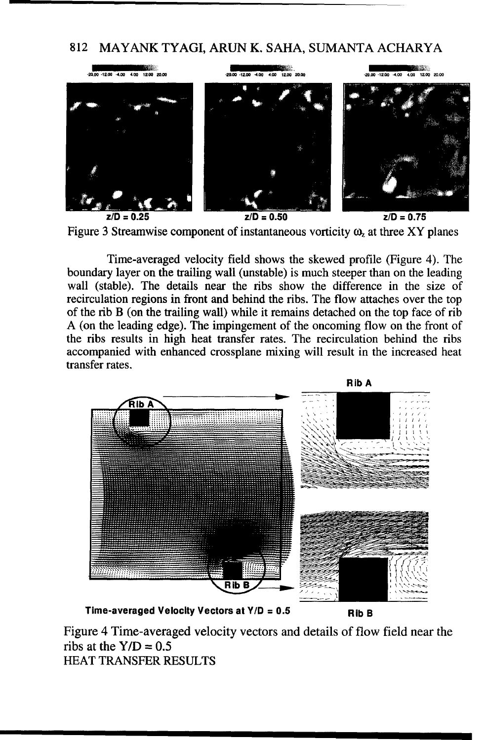

Figure 3 Streamwise component of instantaneous vorticity  $\omega$ , at three XY planes

Time-averaged velocity field shows the skewed profile (Figure 4). The boundary layer on the trailing wall (unstable) is much steeper than on the leading wall (stable). The details near the ribs show the difference in the size of recirculation regions in front and behind the ribs. The flow attaches over the top of the rib B (on the trailing wall) while it remains detached on the top face of rib A (on the leading edge). The impingement of the oncoming flow on the front of the ribs results in high heat transfer rates. The recirculation behind the ribs accompanied with enhanced crossplane mixing will result in the increased heat transfer rates.



Time-averaged Velocity Vectors at **Y/D** = **0.5** Rib B

Figure 4 Time-averaged velocity vectors and details of flow field near the ribs at the  $Y/D = 0.5$ HEAT TRANSFER RESULTS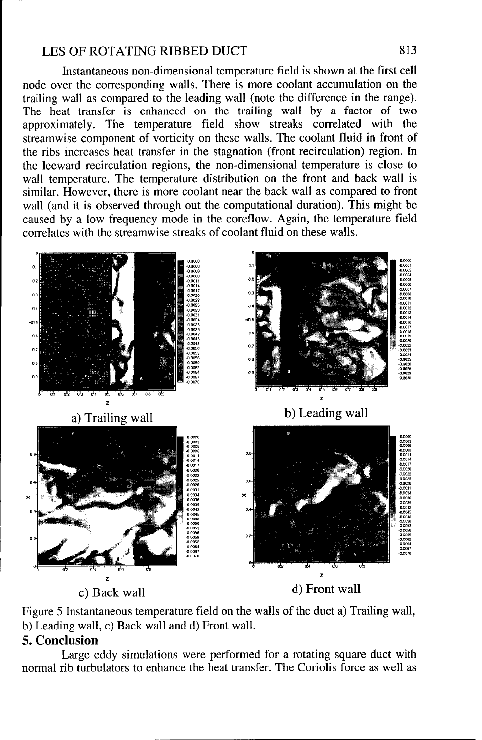#### LES OF ROTATING RIBBED DUCT

Instantaneous non-dimensional temperature field is shown at the first cell node over the corresponding walls. There is more coolant accumulation on the trailing wall as compared to the leading wall (note the difference in the range). The heat transfer is enhanced on the trailing wall by a factor of two approximately. The temperature field show streaks correlated with the streamwise component of vorticity on these walls. The coolant fluid in front of the ribs increases heat transfer in the stagnation (front recirculation) region. In the leeward recirculation regions, the non-dimensional temperature is close to wall temperature. The temperature distribution on the front and back wall is similar. However, there is more coolant near the back wall as compared to front wall (and it is observed through out the computational duration). This might be caused by a low frequency mode in the coreflow. Again, the temperature field correlates with the streamwise streaks of coolant fluid on these walls.



Figure 5 Instantaneous temperature field on the walls of the duct a) Trailing wall, b) Leading wall, c) Back wall and d) Front wall.

## 5. Conclusion

Large eddy simulations were performed for a rotating square duct with normal rib turbulators to enhance the heat transfer. The Coriolis force as well as